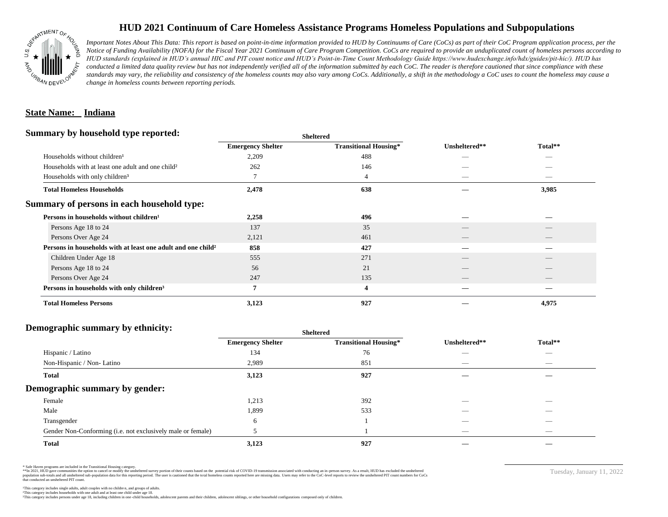

# **HUD 2021 Continuum of Care Homeless Assistance Programs Homeless Populations and Subpopulations**

*Important Notes About This Data: This report is based on point-in-time information provided to HUD by Continuums of Care (CoCs) as part of their CoC Program application process, per the Notice of Funding Availability (NOFA) for the Fiscal Year 2021 Continuum of Care Program Competition. CoCs are required to provide an unduplicated count of homeless persons according to HUD standards (explained in HUD's annual HIC and PIT count notice and HUD's Point-in-Time Count Methodology Guide https://www.hudexchange.info/hdx/guides/pit-hic/). HUD has*  conducted a limited data quality review but has not independently verified all of the information submitted by each CoC. The reader is therefore cautioned that since compliance with these standards may vary, the reliability and consistency of the homeless counts may also vary among CoCs. Additionally, a shift in the methodology a CoC uses to count the homeless may cause a *change in homeless counts between reporting periods.*

#### **State Name: Indiana**

#### **Summary by household type reported:**

|                                                                     | <b>Sheltered</b>             | Unsheltered**            | Total**                         |  |
|---------------------------------------------------------------------|------------------------------|--------------------------|---------------------------------|--|
| <b>Emergency Shelter</b>                                            | <b>Transitional Housing*</b> |                          |                                 |  |
| 2,209                                                               | 488                          |                          |                                 |  |
| 262                                                                 | 146                          |                          |                                 |  |
| 7                                                                   | 4                            | $\hspace{0.05cm}$        | $\hspace{0.1mm}-\hspace{0.1mm}$ |  |
| 2,478                                                               | 638                          |                          | 3,985                           |  |
|                                                                     |                              |                          |                                 |  |
| 2,258                                                               | 496                          |                          |                                 |  |
| 137                                                                 | 35                           |                          |                                 |  |
| 2,121                                                               | 461                          | $\overline{\phantom{a}}$ | $\qquad \qquad$                 |  |
| Persons in households with at least one adult and one child?<br>858 | 427                          |                          |                                 |  |
| 555                                                                 | 271                          |                          |                                 |  |
| 56                                                                  | 21                           |                          |                                 |  |
| 247                                                                 | 135                          | __                       |                                 |  |
| 7                                                                   | $\overline{\mathbf{4}}$      |                          |                                 |  |
| 3,123                                                               | 927                          |                          | 4,975                           |  |
|                                                                     |                              |                          |                                 |  |

## **Demographic summary by ethnicity:**

| ັ<br>. .<br>$\bullet$<br>. .<br>$\ddot{\phantom{1}}$        | Sneitered                |                              |                                 |                                |
|-------------------------------------------------------------|--------------------------|------------------------------|---------------------------------|--------------------------------|
|                                                             | <b>Emergency Shelter</b> | <b>Transitional Housing*</b> | Unsheltered**                   | Total**                        |
| Hispanic / Latino                                           | 134                      | 76                           | _                               | $\overbrace{\hspace{25mm}}^{}$ |
| Non-Hispanic / Non-Latino                                   | 2,989                    | 851                          | $\hspace{0.05cm}$               | $\overbrace{\hspace{25mm}}^{}$ |
| <b>Total</b>                                                | 3,123                    | 927                          |                                 |                                |
| Demographic summary by gender:                              |                          |                              |                                 |                                |
| Female                                                      | 1,213                    | 392                          | ___                             | $\overline{\phantom{a}}$       |
| Male                                                        | 1,899                    | 533                          | ___                             | $\overline{\phantom{a}}$       |
| Transgender                                                 | 6                        |                              | __                              | $\sim$                         |
| Gender Non-Conforming (i.e. not exclusively male or female) |                          |                              | $\hspace{0.1mm}-\hspace{0.1mm}$ | $\overbrace{\hspace{25mm}}^{}$ |
| <b>Total</b>                                                | 3,123                    | 927                          |                                 |                                |

**Sheltered**

\* Safe Haven programs are included in the Transitional Housing category.

\*\*In 2021, HUD gave communities the option to cancel or modify the unsheltered survey portion of their counts based on the potential risk of COVID-19 transmission associated with conducting an in-person survey. As a result n political data for this reporting period. The user is cautioned that the total homeless counts reported here are missing data. Users may refer to the CoC-level reports to review the unshellered PIT count numbers for CoCs that conducted an unsheltered PIT count.

Tuesday, January 11, 2022